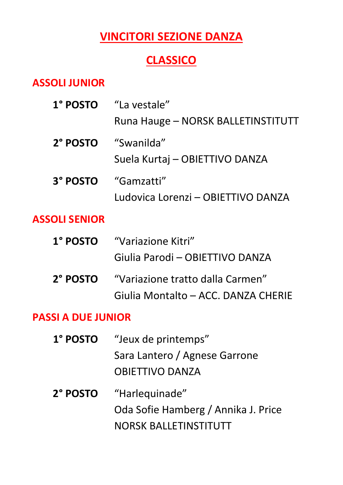## VINCITORI SEZIONE DANZA

### **CLASSICO**

#### ASSOLI JUNIOR

| 1° POSTO "La vestale"                                     |
|-----------------------------------------------------------|
| Runa Hauge – NORSK BALLETINSTITUTT                        |
| 2° POSTO "Swanilda"<br>Suela Kurtaj - OBIETTIVO DANZA     |
| 3° POSTO "Gamzatti"<br>Ludovica Lorenzi - OBIETTIVO DANZA |

#### ASSOLI SENIOR

| <b>1° POSTO</b> | "Variazione Kitri"                  |
|-----------------|-------------------------------------|
|                 | Giulia Parodi - OBIETTIVO DANZA     |
| <b>2° POSTO</b> | "Variazione tratto dalla Carmen"    |
|                 | Giulia Montalto – ACC. DANZA CHERIE |

#### PASSI A DUE JUNIOR

- 1° POSTO "Jeux de printemps" Sara Lantero / Agnese Garrone OBIETTIVO DANZA
- 2° POSTO "Harlequinade" Oda Sofie Hamberg / Annika J. Price NORSK BALLETINSTITUTT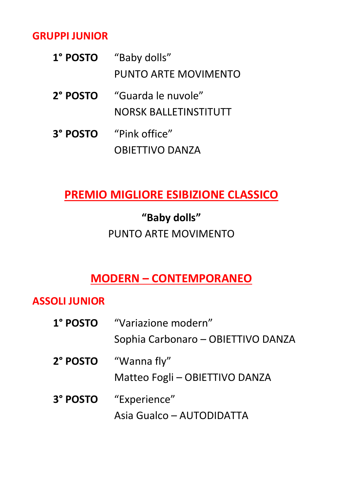#### GRUPPI JUNIOR

| 1° POSTO | "Baby dolls"                                |
|----------|---------------------------------------------|
|          | PUNTO ARTE MOVIMENTO                        |
| 2° POSTO | "Guarda le nuvole"<br>NORSK BALLETINSTITUTT |
| 3° POSTO | "Pink office"<br><b>OBIETTIVO DANZA</b>     |
|          |                                             |

### PREMIO MIGLIORE ESIBIZIONE CLASSICO

## "Baby dolls" PUNTO ARTE MOVIMENTO

### MODERN – CONTEMPORANEO

#### ASSOLI JUNIOR

| <b>1° POSTO</b> | "Variazione modern"<br>Sophia Carbonaro - OBIETTIVO DANZA |
|-----------------|-----------------------------------------------------------|
| 2° POSTO        | "Wanna fly"<br>Matteo Fogli - OBIETTIVO DANZA             |
|                 | <b>3° POSTO</b> "Experience"<br>Asia Gualco – AUTODIDATTA |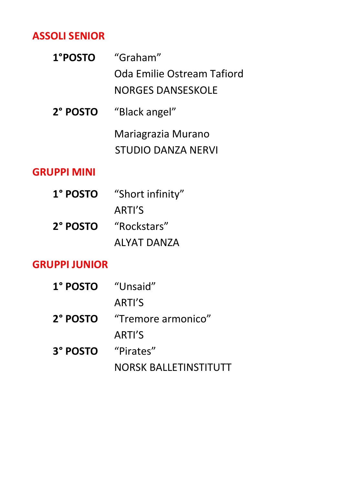#### ASSOLI SENIOR

| 1°POSTO "Graham"           |
|----------------------------|
| Oda Emilie Ostream Tafiord |
| <b>NORGES DANSESKOLE</b>   |

2° POSTO "Black angel"

 Mariagrazia Murano STUDIO DANZA NERVI

#### GRUPPI MINI

| 1° POSTO | "Short infinity" |
|----------|------------------|
|          | ARTI'S           |
| 2° POSTO | "Rockstars"      |
|          | ALYAT DANZA      |

#### GRUPPI JUNIOR

| 1° POSTO "Unsaid" |                              |
|-------------------|------------------------------|
|                   | ARTI'S                       |
| 2° POSTO          | "Tremore armonico"           |
|                   | <b>ARTI'S</b>                |
| 3° POSTO          | "Pirates"                    |
|                   | <b>NORSK BALLETINSTITUTT</b> |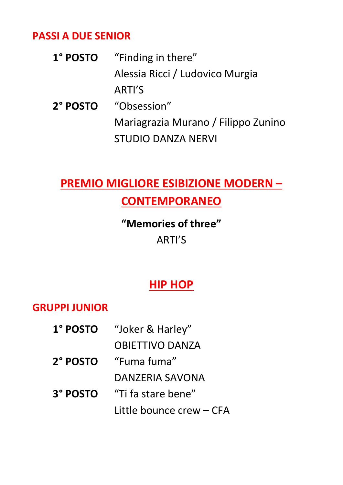#### PASSI A DUE SENIOR

- 1° POSTO "Finding in there" Alessia Ricci / Ludovico Murgia ARTI'S
- 2° POSTO "Obsession" Mariagrazia Murano / Filippo Zunino STUDIO DANZA NERVI

# PREMIO MIGLIORE ESIBIZIONE MODERN – **CONTEMPORANEO**

"Memories of three" ARTI'S

## HIP HOP

### GRUPPI JUNIOR

| <b>1° POSTO</b> | "Joker & Harley"         |
|-----------------|--------------------------|
|                 | <b>OBIETTIVO DANZA</b>   |
| 2° POSTO        | "Fuma fuma"              |
|                 | DANZERIA SAVONA          |
| 3° POSTO        | "Ti fa stare bene"       |
|                 | Little bounce crew - CFA |